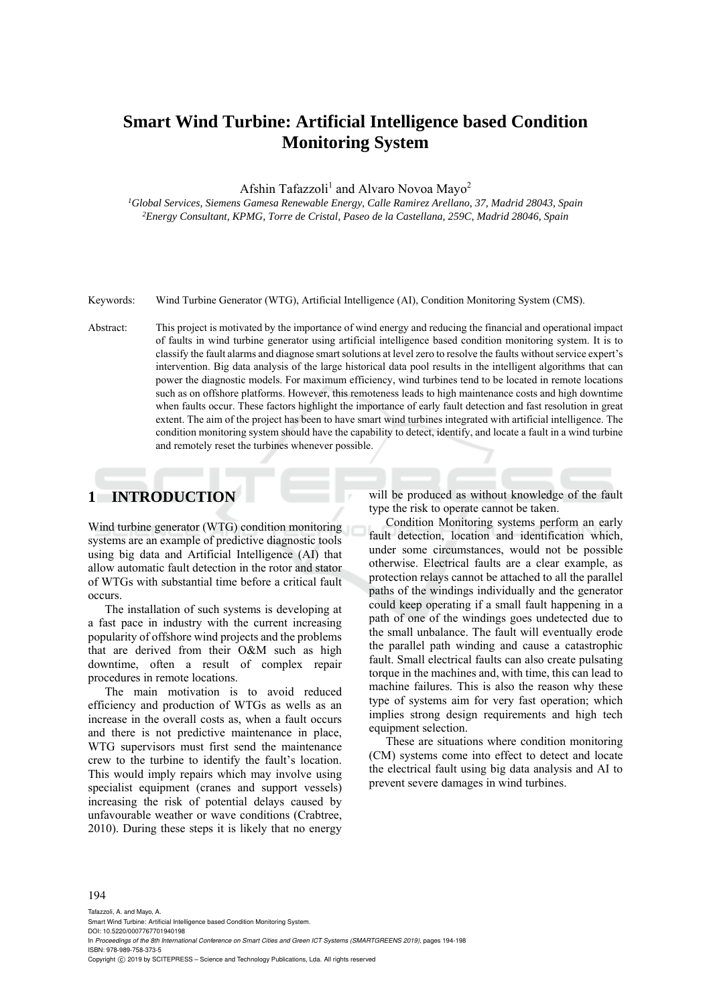# **Smart Wind Turbine: Artificial Intelligence based Condition Monitoring System**

Afshin Tafazzoli<sup>1</sup> and Alvaro Novoa Mayo<sup>2</sup>

*1Global Services, Siemens Gamesa Renewable Energy, Calle Ramirez Arellano, 37, Madrid 28043, Spain 2 Energy Consultant, KPMG, Torre de Cristal, Paseo de la Castellana, 259C, Madrid 28046, Spain* 

Keywords: Wind Turbine Generator (WTG), Artificial Intelligence (AI), Condition Monitoring System (CMS).

Abstract: This project is motivated by the importance of wind energy and reducing the financial and operational impact of faults in wind turbine generator using artificial intelligence based condition monitoring system. It is to classify the fault alarms and diagnose smart solutions at level zero to resolve the faults without service expert's intervention. Big data analysis of the large historical data pool results in the intelligent algorithms that can power the diagnostic models. For maximum efficiency, wind turbines tend to be located in remote locations such as on offshore platforms. However, this remoteness leads to high maintenance costs and high downtime when faults occur. These factors highlight the importance of early fault detection and fast resolution in great extent. The aim of the project has been to have smart wind turbines integrated with artificial intelligence. The condition monitoring system should have the capability to detect, identify, and locate a fault in a wind turbine and remotely reset the turbines whenever possible.

## **1 INTRODUCTION**

Wind turbine generator (WTG) condition monitoring systems are an example of predictive diagnostic tools using big data and Artificial Intelligence (AI) that allow automatic fault detection in the rotor and stator of WTGs with substantial time before a critical fault occurs.

The installation of such systems is developing at a fast pace in industry with the current increasing popularity of offshore wind projects and the problems that are derived from their O&M such as high downtime, often a result of complex repair procedures in remote locations.

The main motivation is to avoid reduced efficiency and production of WTGs as wells as an increase in the overall costs as, when a fault occurs and there is not predictive maintenance in place, WTG supervisors must first send the maintenance crew to the turbine to identify the fault's location. This would imply repairs which may involve using specialist equipment (cranes and support vessels) increasing the risk of potential delays caused by unfavourable weather or wave conditions (Crabtree, 2010). During these steps it is likely that no energy

will be produced as without knowledge of the fault type the risk to operate cannot be taken.

Condition Monitoring systems perform an early fault detection, location and identification which, under some circumstances, would not be possible otherwise. Electrical faults are a clear example, as protection relays cannot be attached to all the parallel paths of the windings individually and the generator could keep operating if a small fault happening in a path of one of the windings goes undetected due to the small unbalance. The fault will eventually erode the parallel path winding and cause a catastrophic fault. Small electrical faults can also create pulsating torque in the machines and, with time, this can lead to machine failures. This is also the reason why these type of systems aim for very fast operation; which implies strong design requirements and high tech equipment selection.

These are situations where condition monitoring (CM) systems come into effect to detect and locate the electrical fault using big data analysis and AI to prevent severe damages in wind turbines.

#### 194

Tafazzoli, A. and Mayo, A. Smart Wind Turbine: Artificial Intelligence based Condition Monitoring System. DOI: 10.5220/0007767701940198 In *Proceedings of the 8th International Conference on Smart Cities and Green ICT Systems (SMARTGREENS 2019)*, pages 194-198 ISBN: 978-989-758-373-5 Copyright (C) 2019 by SCITEPRESS - Science and Technology Publications, Lda. All rights reserved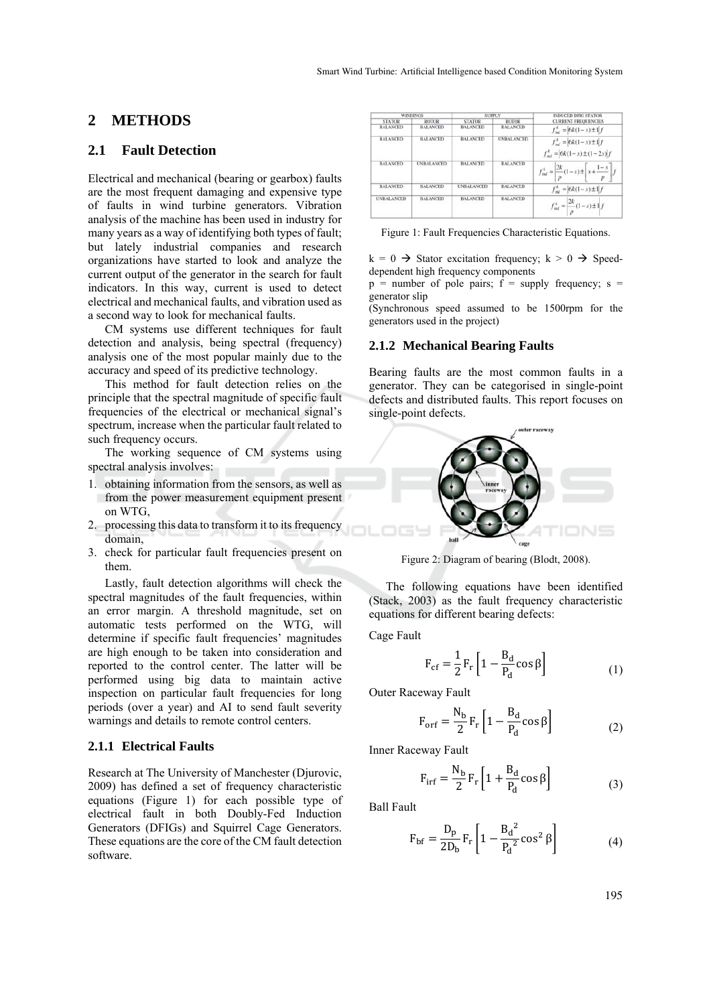## **2 METHODS**

### **2.1 Fault Detection**

Electrical and mechanical (bearing or gearbox) faults are the most frequent damaging and expensive type of faults in wind turbine generators. Vibration analysis of the machine has been used in industry for many years as a way of identifying both types of fault; but lately industrial companies and research organizations have started to look and analyze the current output of the generator in the search for fault indicators. In this way, current is used to detect electrical and mechanical faults, and vibration used as a second way to look for mechanical faults.

CM systems use different techniques for fault detection and analysis, being spectral (frequency) analysis one of the most popular mainly due to the accuracy and speed of its predictive technology.

This method for fault detection relies on the principle that the spectral magnitude of specific fault frequencies of the electrical or mechanical signal's spectrum, increase when the particular fault related to such frequency occurs.

The working sequence of CM systems using spectral analysis involves:

- 1. obtaining information from the sensors, as well as from the power measurement equipment present on WTG,
- 2. processing this data to transform it to its frequency domain,
- 3. check for particular fault frequencies present on them.

Lastly, fault detection algorithms will check the spectral magnitudes of the fault frequencies, within an error margin. A threshold magnitude, set on automatic tests performed on the WTG, will determine if specific fault frequencies' magnitudes are high enough to be taken into consideration and reported to the control center. The latter will be performed using big data to maintain active inspection on particular fault frequencies for long periods (over a year) and AI to send fault severity warnings and details to remote control centers.

#### **2.1.1 Electrical Faults**

Research at The University of Manchester (Djurovic, 2009) has defined a set of frequency characteristic equations (Figure 1) for each possible type of electrical fault in both Doubly-Fed Induction Generators (DFIGs) and Squirrel Cage Generators. These equations are the core of the CM fault detection software.

| <b>WINDINGS</b>   |                   | <b>SUPPLY</b>     |                   | <b>INDUCED DFIG STATOR</b>                                                  |
|-------------------|-------------------|-------------------|-------------------|-----------------------------------------------------------------------------|
| <b>STATOR</b>     | ROTOR             | <b>STATOR</b>     | ROTOR             | <b>CURRENT FREQUENCIES</b>                                                  |
| <b>BALANCED</b>   | <b>BALANCED</b>   | <b>BALANCED</b>   | <b>BALANCED</b>   | $f_{int}^k = 6k(1-s) \pm 1/f$                                               |
| <b>BALANCED</b>   | <b>BALANCED</b>   | <b>BALANCED</b>   | <b>UNBALANCED</b> | $f_{int}^k = 6k(1-s) \pm 1/f$<br>$f_{\text{int}}^L =  6k(1-s) \pm (1-2s) f$ |
| <b>BALANCED</b>   | <b>UNBALANCED</b> | <b>BALANCED</b>   | <b>BALANCED</b>   | $f_{int}^{k} = \frac{2k}{p}(1-s) \pm \left  s + \frac{1-s}{p} \right $ .    |
| <b>BALANCED</b>   | <b>BALANCED</b>   | <b>UNBALANCED</b> | <b>BALANCED</b>   | $f_{\text{inf}}^k = 6k(1-s) \pm 1/f$                                        |
| <b>UNBALANCED</b> | <b>BALANCED</b>   | <b>BALANCED</b>   | <b>BALANCED</b>   | $f_{int}^k = \left  \frac{2k}{p} (1-s) \pm 1 \right  f$                     |

Figure 1: Fault Frequencies Characteristic Equations.

 $k = 0 \rightarrow$  Stator excitation frequency:  $k > 0 \rightarrow$  Speeddependent high frequency components

 $p =$  number of pole pairs;  $\hat{f} =$  supply frequency; s = generator slip

(Synchronous speed assumed to be 1500rpm for the generators used in the project)

### **2.1.2 Mechanical Bearing Faults**

Bearing faults are the most common faults in a generator. They can be categorised in single-point defects and distributed faults. This report focuses on single-point defects.



Figure 2: Diagram of bearing (Blodt, 2008).

The following equations have been identified (Stack, 2003) as the fault frequency characteristic equations for different bearing defects:

Cage Fault

$$
F_{cf} = \frac{1}{2} F_r \left[ 1 - \frac{B_d}{P_d} \cos \beta \right]
$$
 (1)

Outer Raceway Fault

$$
F_{\rm orf} = \frac{N_{\rm b}}{2} F_{\rm r} \left[ 1 - \frac{B_{\rm d}}{P_{\rm d}} \cos \beta \right]
$$
 (2)

Inner Raceway Fault

$$
F_{irf} = \frac{N_b}{2} F_r \left[ 1 + \frac{B_d}{P_d} \cos \beta \right]
$$
 (3)

Ball Fault

$$
F_{\rm bf} = \frac{D_{\rm p}}{2D_{\rm b}} F_{\rm r} \left[ 1 - \frac{B_{\rm d}^2}{P_{\rm d}^2} \cos^2 \beta \right]
$$
 (4)

195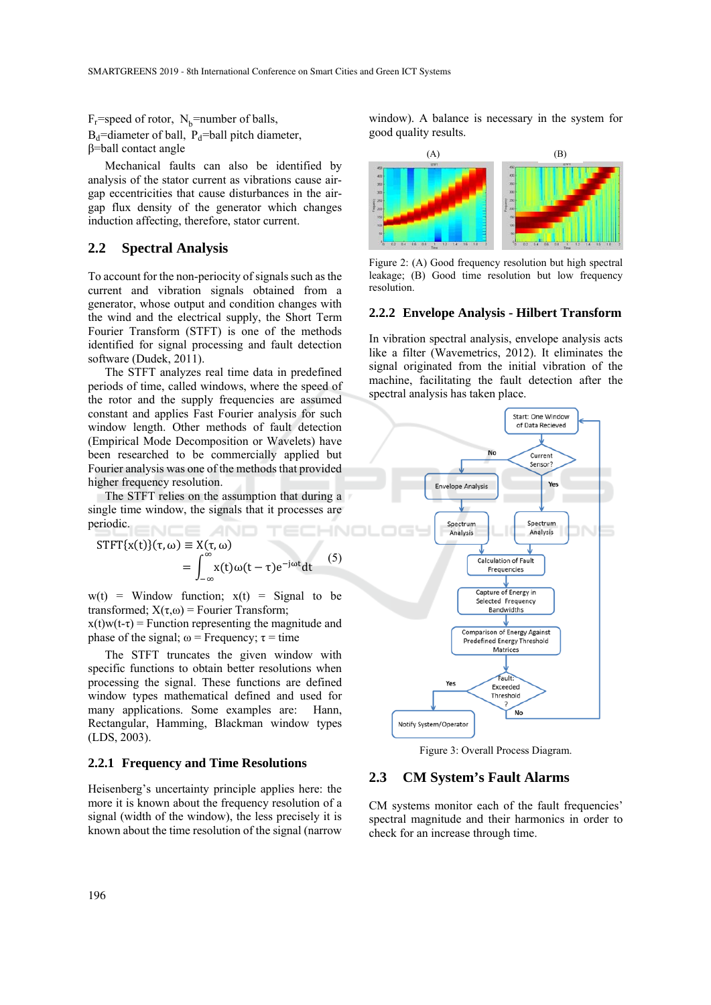## $F_r$ =speed of rotor,  $N_b$ =number of balls,

 $B_d$ =diameter of ball,  $P_d$ =ball pitch diameter, β=ball contact angle

Mechanical faults can also be identified by analysis of the stator current as vibrations cause airgap eccentricities that cause disturbances in the airgap flux density of the generator which changes induction affecting, therefore, stator current.

### **2.2 Spectral Analysis**

To account for the non-periocity of signals such as the current and vibration signals obtained from a generator, whose output and condition changes with the wind and the electrical supply, the Short Term Fourier Transform (STFT) is one of the methods identified for signal processing and fault detection software (Dudek, 2011).

The STFT analyzes real time data in predefined periods of time, called windows, where the speed of the rotor and the supply frequencies are assumed constant and applies Fast Fourier analysis for such window length. Other methods of fault detection (Empirical Mode Decomposition or Wavelets) have been researched to be commercially applied but Fourier analysis was one of the methods that provided higher frequency resolution.

The STFT relies on the assumption that during a single time window, the signals that it processes are periodic. NCE AND

$$
STFT{x(t)}(\tau, \omega) \equiv X(\tau, \omega)
$$
  
= 
$$
\int_{-\infty}^{\infty} x(t) \omega(t-\tau) e^{-j\omega t} dt
$$
 (5)

 $w(t)$  = Window function;  $x(t)$  = Signal to be transformed;  $X(\tau,\omega)$  = Fourier Transform;

 $x(t)w(t-\tau)$  = Function representing the magnitude and phase of the signal;  $\omega$  = Frequency;  $\tau$  = time

The STFT truncates the given window with specific functions to obtain better resolutions when processing the signal. These functions are defined window types mathematical defined and used for many applications. Some examples are: Hann, Rectangular, Hamming, Blackman window types (LDS, 2003).

#### **2.2.1 Frequency and Time Resolutions**

Heisenberg's uncertainty principle applies here: the more it is known about the frequency resolution of a signal (width of the window), the less precisely it is known about the time resolution of the signal (narrow

window). A balance is necessary in the system for good quality results.



Figure 2: (A) Good frequency resolution but high spectral leakage; (B) Good time resolution but low frequency resolution.

#### **2.2.2 Envelope Analysis - Hilbert Transform**

In vibration spectral analysis, envelope analysis acts like a filter (Wavemetrics, 2012). It eliminates the signal originated from the initial vibration of the machine, facilitating the fault detection after the spectral analysis has taken place.



Figure 3: Overall Process Diagram.

### **2.3 CM System's Fault Alarms**

CM systems monitor each of the fault frequencies' spectral magnitude and their harmonics in order to check for an increase through time.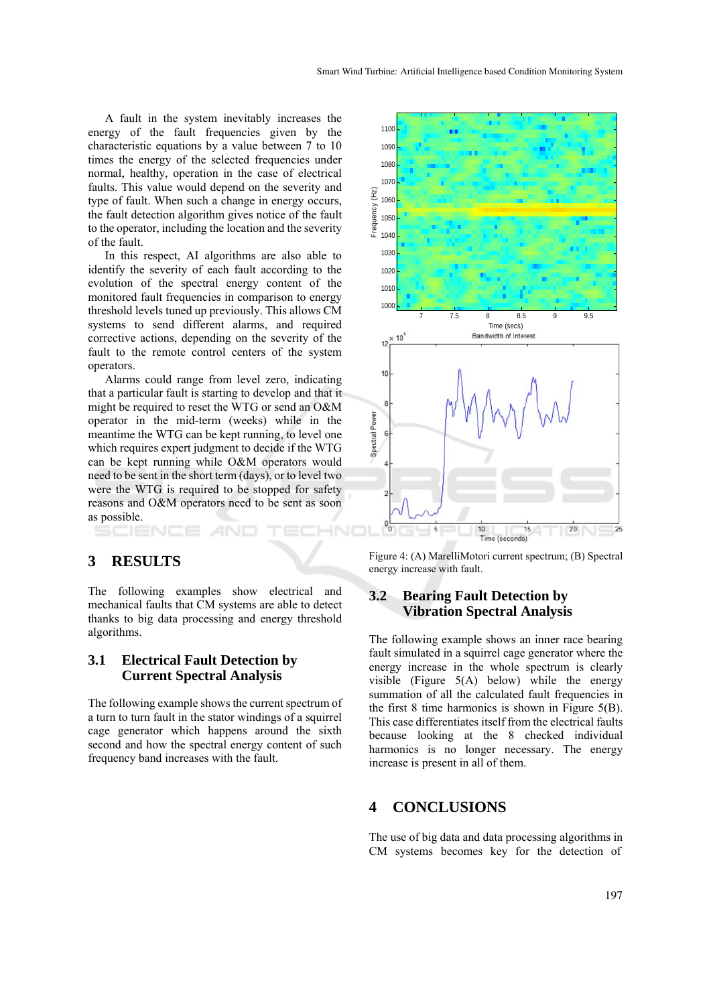A fault in the system inevitably increases the energy of the fault frequencies given by the characteristic equations by a value between 7 to 10 times the energy of the selected frequencies under normal, healthy, operation in the case of electrical faults. This value would depend on the severity and type of fault. When such a change in energy occurs, the fault detection algorithm gives notice of the fault to the operator, including the location and the severity of the fault.

In this respect, AI algorithms are also able to identify the severity of each fault according to the evolution of the spectral energy content of the monitored fault frequencies in comparison to energy threshold levels tuned up previously. This allows CM systems to send different alarms, and required corrective actions, depending on the severity of the fault to the remote control centers of the system operators.

Alarms could range from level zero, indicating that a particular fault is starting to develop and that it might be required to reset the WTG or send an O&M operator in the mid-term (weeks) while in the meantime the WTG can be kept running, to level one which requires expert judgment to decide if the WTG can be kept running while O&M operators would need to be sent in the short term (days), or to level two were the WTG is required to be stopped for safety reasons and O&M operators need to be sent as soon as possible.

## **3 RESULTS**

The following examples show electrical and mechanical faults that CM systems are able to detect thanks to big data processing and energy threshold algorithms.

## **3.1 Electrical Fault Detection by Current Spectral Analysis**

The following example shows the current spectrum of a turn to turn fault in the stator windings of a squirrel cage generator which happens around the sixth second and how the spectral energy content of such frequency band increases with the fault.



Figure 4: (A) MarelliMotori current spectrum; (B) Spectral energy increase with fault.

### **3.2 Bearing Fault Detection by Vibration Spectral Analysis**

The following example shows an inner race bearing fault simulated in a squirrel cage generator where the energy increase in the whole spectrum is clearly visible (Figure  $5(A)$  below) while the energy summation of all the calculated fault frequencies in the first 8 time harmonics is shown in Figure 5(B). This case differentiates itself from the electrical faults because looking at the 8 checked individual harmonics is no longer necessary. The energy increase is present in all of them.

## **4 CONCLUSIONS**

The use of big data and data processing algorithms in CM systems becomes key for the detection of